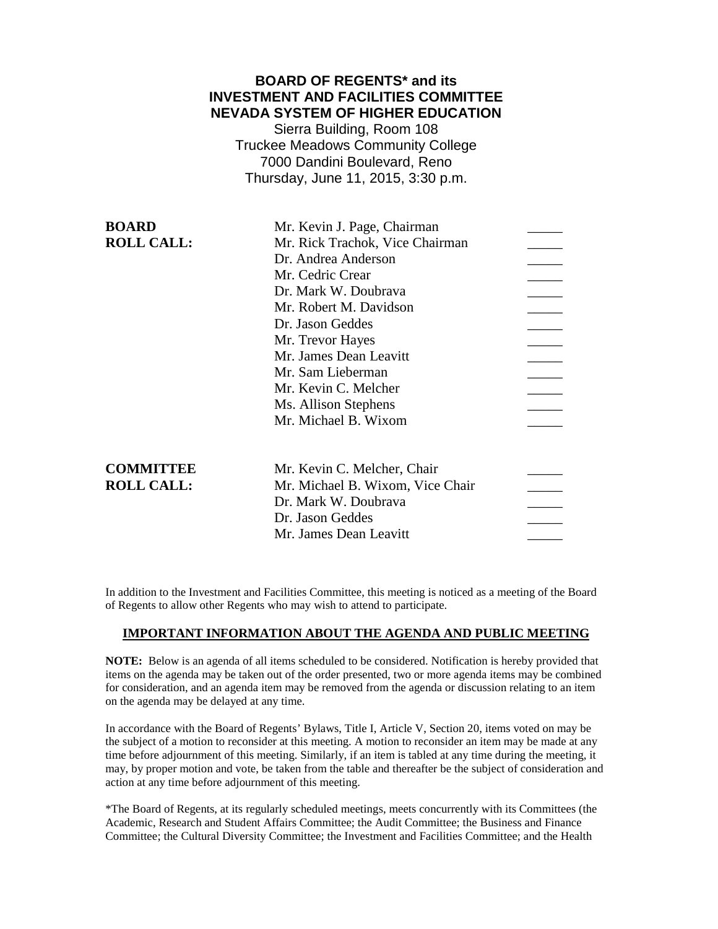### **BOARD OF REGENTS\* and its INVESTMENT AND FACILITIES COMMITTEE NEVADA SYSTEM OF HIGHER EDUCATION**

Sierra Building, Room 108 Truckee Meadows Community College 7000 Dandini Boulevard, Reno Thursday, June 11, 2015, 3:30 p.m.

| <b>BOARD</b>      | Mr. Kevin J. Page, Chairman      |  |
|-------------------|----------------------------------|--|
| <b>ROLL CALL:</b> | Mr. Rick Trachok, Vice Chairman  |  |
|                   | Dr. Andrea Anderson              |  |
|                   | Mr. Cedric Crear                 |  |
|                   | Dr. Mark W. Doubrava             |  |
|                   | Mr. Robert M. Davidson           |  |
|                   | Dr. Jason Geddes                 |  |
|                   | Mr. Trevor Hayes                 |  |
|                   | Mr. James Dean Leavitt           |  |
|                   | Mr. Sam Lieberman                |  |
|                   | Mr. Kevin C. Melcher             |  |
|                   | Ms. Allison Stephens             |  |
|                   | Mr. Michael B. Wixom             |  |
|                   |                                  |  |
|                   |                                  |  |
| <b>COMMITTEE</b>  | Mr. Kevin C. Melcher, Chair      |  |
| <b>ROLL CALL:</b> | Mr. Michael B. Wixom, Vice Chair |  |
|                   | Dr. Mark W. Doubrava             |  |
|                   | Dr. Jason Geddes                 |  |
|                   | Mr. James Dean Leavitt           |  |
|                   |                                  |  |

In addition to the Investment and Facilities Committee, this meeting is noticed as a meeting of the Board of Regents to allow other Regents who may wish to attend to participate.

### **IMPORTANT INFORMATION ABOUT THE AGENDA AND PUBLIC MEETING**

**NOTE:** Below is an agenda of all items scheduled to be considered. Notification is hereby provided that items on the agenda may be taken out of the order presented, two or more agenda items may be combined for consideration, and an agenda item may be removed from the agenda or discussion relating to an item on the agenda may be delayed at any time.

In accordance with the Board of Regents' Bylaws, Title I, Article V, Section 20, items voted on may be the subject of a motion to reconsider at this meeting. A motion to reconsider an item may be made at any time before adjournment of this meeting. Similarly, if an item is tabled at any time during the meeting, it may, by proper motion and vote, be taken from the table and thereafter be the subject of consideration and action at any time before adjournment of this meeting.

\*The Board of Regents, at its regularly scheduled meetings, meets concurrently with its Committees (the Academic, Research and Student Affairs Committee; the Audit Committee; the Business and Finance Committee; the Cultural Diversity Committee; the Investment and Facilities Committee; and the Health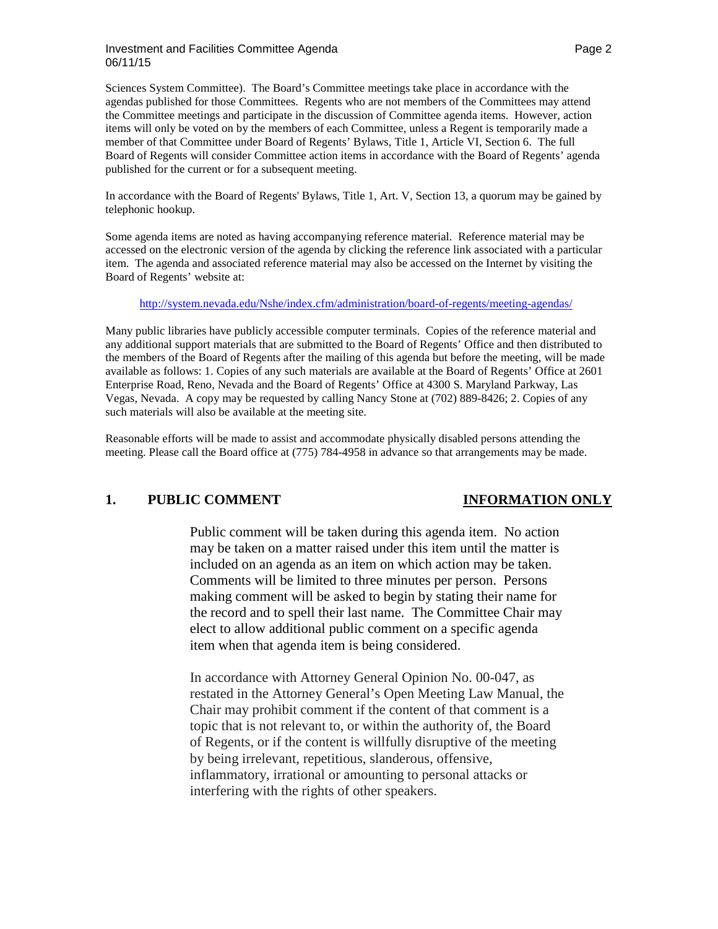### Investment and Facilities Committee Agenda **Page 2** According to the Page 2 06/11/15

Sciences System Committee). The Board's Committee meetings take place in accordance with the agendas published for those Committees. Regents who are not members of the Committees may attend the Committee meetings and participate in the discussion of Committee agenda items. However, action items will only be voted on by the members of each Committee, unless a Regent is temporarily made a member of that Committee under Board of Regents' Bylaws, Title 1, Article VI, Section 6. The full Board of Regents will consider Committee action items in accordance with the Board of Regents' agenda published for the current or for a subsequent meeting.

In accordance with the Board of Regents' Bylaws, Title 1, Art. V, Section 13, a quorum may be gained by telephonic hookup.

Some agenda items are noted as having accompanying reference material. Reference material may be accessed on the electronic version of the agenda by clicking the reference link associated with a particular item. The agenda and associated reference material may also be accessed on the Internet by visiting the Board of Regents' website at:

<http://system.nevada.edu/Nshe/index.cfm/administration/board-of-regents/meeting-agendas/>

Many public libraries have publicly accessible computer terminals. Copies of the reference material and any additional support materials that are submitted to the Board of Regents' Office and then distributed to the members of the Board of Regents after the mailing of this agenda but before the meeting, will be made available as follows: 1. Copies of any such materials are available at the Board of Regents' Office at 2601 Enterprise Road, Reno, Nevada and the Board of Regents' Office at 4300 S. Maryland Parkway, Las Vegas, Nevada. A copy may be requested by calling Nancy Stone at (702) 889-8426; 2. Copies of any such materials will also be available at the meeting site.

Reasonable efforts will be made to assist and accommodate physically disabled persons attending the meeting. Please call the Board office at (775) 784-4958 in advance so that arrangements may be made.

## **1. PUBLIC COMMENT INFORMATION ONLY**

Public comment will be taken during this agenda item. No action may be taken on a matter raised under this item until the matter is included on an agenda as an item on which action may be taken. Comments will be limited to three minutes per person. Persons making comment will be asked to begin by stating their name for the record and to spell their last name. The Committee Chair may elect to allow additional public comment on a specific agenda item when that agenda item is being considered.

In accordance with Attorney General Opinion No. 00-047, as restated in the Attorney General's Open Meeting Law Manual, the Chair may prohibit comment if the content of that comment is a topic that is not relevant to, or within the authority of, the Board of Regents, or if the content is willfully disruptive of the meeting by being irrelevant, repetitious, slanderous, offensive, inflammatory, irrational or amounting to personal attacks or interfering with the rights of other speakers.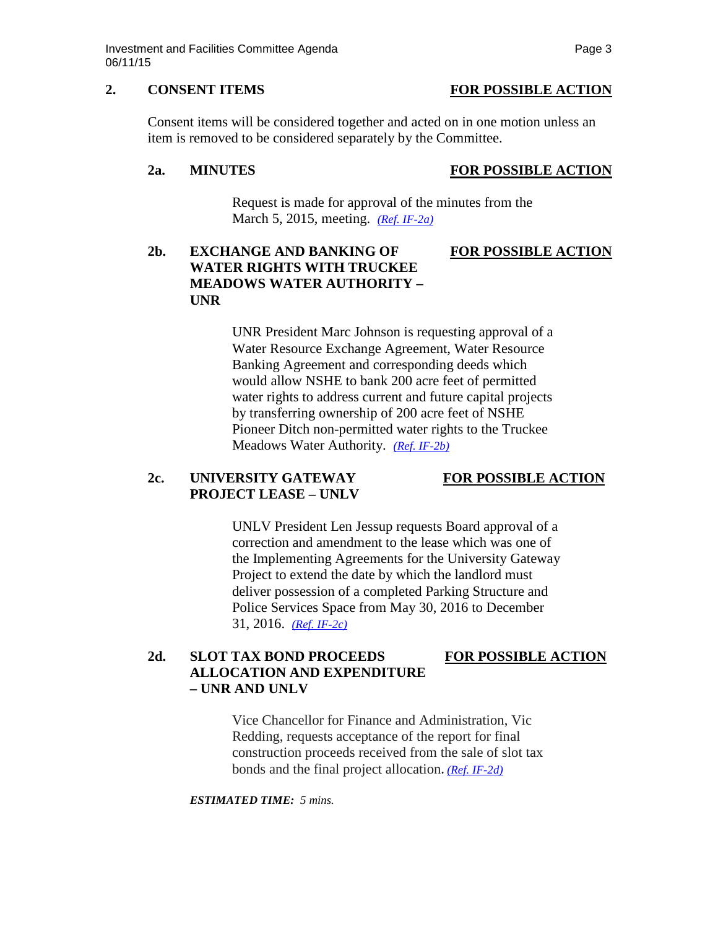### **2. CONSENT ITEMS FOR POSSIBLE ACTION**

Consent items will be considered together and acted on in one motion unless an item is removed to be considered separately by the Committee.

### **2a. MINUTES FOR POSSIBLE ACTION**

Request is made for approval of the minutes from the March 5, 2015, meeting. *[\(Ref. IF-2a\)](http://system.nevada.edu/tasks/sites/Nshe/assets/File/BoardOfRegents/Agendas/2015/jun-mtgs/if-refs/IF-2a.pdf)*

# **2b. EXCHANGE AND BANKING OF FOR POSSIBLE ACTION WATER RIGHTS WITH TRUCKEE MEADOWS WATER AUTHORITY – UNR**

UNR President Marc Johnson is requesting approval of a Water Resource Exchange Agreement, Water Resource Banking Agreement and corresponding deeds which would allow NSHE to bank 200 acre feet of permitted water rights to address current and future capital projects by transferring ownership of 200 acre feet of NSHE Pioneer Ditch non-permitted water rights to the Truckee Meadows Water Authority. *[\(Ref. IF-2b\)](http://system.nevada.edu/tasks/sites/Nshe/assets/File/BoardOfRegents/Agendas/2015/jun-mtgs/if-refs/IF-2b.pdf)*

## **2c. UNIVERSITY GATEWAY FOR POSSIBLE ACTION PROJECT LEASE – UNLV**

UNLV President Len Jessup requests Board approval of a correction and amendment to the lease which was one of the Implementing Agreements for the University Gateway Project to extend the date by which the landlord must deliver possession of a completed Parking Structure and Police Services Space from May 30, 2016 to December 31, 2016. *[\(Ref. IF-2c\)](http://system.nevada.edu/tasks/sites/Nshe/assets/File/BoardOfRegents/Agendas/2015/jun-mtgs/if-refs/IF-2c.pdf)*

# **2d. SLOT TAX BOND PROCEEDS FOR POSSIBLE ACTION ALLOCATION AND EXPENDITURE – UNR AND UNLV**

Vice Chancellor for Finance and Administration, Vic Redding, requests acceptance of the report for final construction proceeds received from the sale of slot tax bonds and the final project allocation. *[\(Ref. IF-2d\)](http://system.nevada.edu/tasks/sites/Nshe/assets/File/BoardOfRegents/Agendas/2015/jun-mtgs/if-refs/IF-2d.pdf)*

*ESTIMATED TIME: 5 mins.*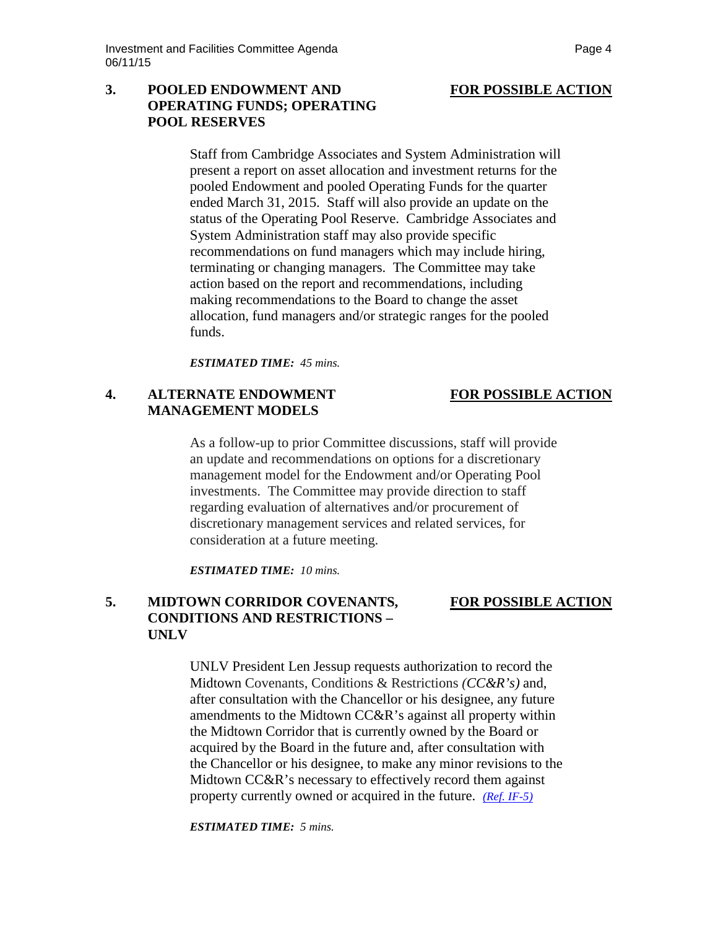### **3. POOLED ENDOWMENT AND FOR POSSIBLE ACTION OPERATING FUNDS; OPERATING POOL RESERVES**

Staff from Cambridge Associates and System Administration will present a report on asset allocation and investment returns for the pooled Endowment and pooled Operating Funds for the quarter ended March 31, 2015. Staff will also provide an update on the status of the Operating Pool Reserve. Cambridge Associates and System Administration staff may also provide specific recommendations on fund managers which may include hiring, terminating or changing managers. The Committee may take action based on the report and recommendations, including making recommendations to the Board to change the asset allocation, fund managers and/or strategic ranges for the pooled funds.

*ESTIMATED TIME: 45 mins.*

### **4. ALTERNATE ENDOWMENT FOR POSSIBLE ACTION MANAGEMENT MODELS**

As a follow-up to prior Committee discussions, staff will provide an update and recommendations on options for a discretionary management model for the Endowment and/or Operating Pool investments. The Committee may provide direction to staff regarding evaluation of alternatives and/or procurement of discretionary management services and related services, for consideration at a future meeting.

*ESTIMATED TIME: 10 mins.*

# **5. MIDTOWN CORRIDOR COVENANTS, FOR POSSIBLE ACTION CONDITIONS AND RESTRICTIONS – UNLV**

UNLV President Len Jessup requests authorization to record the Midtown Covenants, Conditions & Restrictions *(CC&R's)* and, after consultation with the Chancellor or his designee, any future amendments to the Midtown CC&R's against all property within the Midtown Corridor that is currently owned by the Board or acquired by the Board in the future and, after consultation with the Chancellor or his designee, to make any minor revisions to the Midtown CC&R's necessary to effectively record them against property currently owned or acquired in the future. *[\(Ref. IF-5\)](http://system.nevada.edu/tasks/sites/Nshe/assets/File/BoardOfRegents/Agendas/2015/jun-mtgs/if-refs/IF-5.pdf)*

*ESTIMATED TIME: 5 mins.*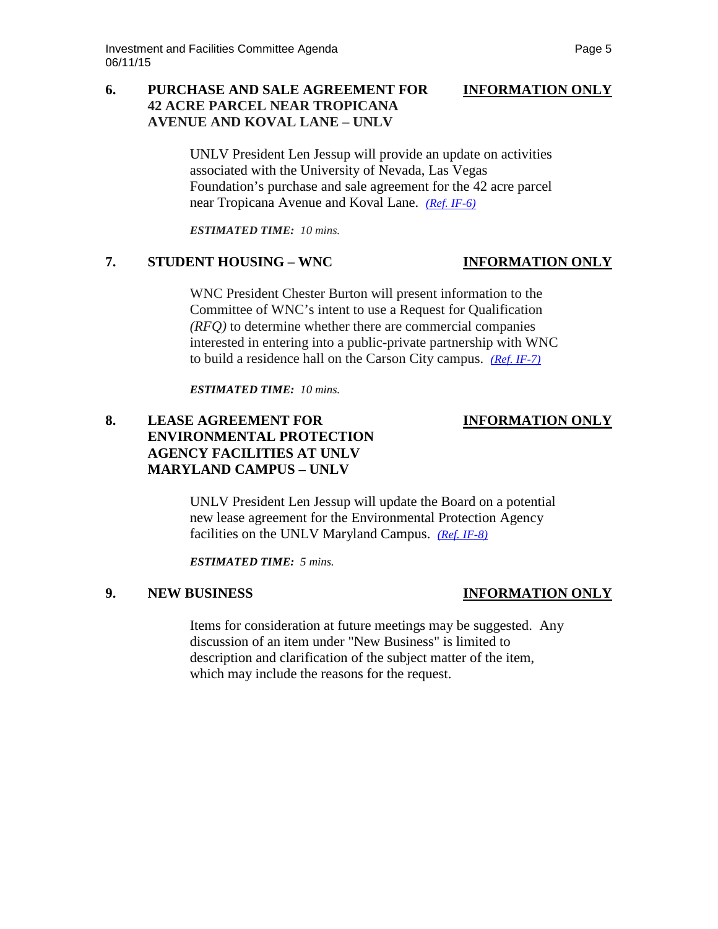### **6. PURCHASE AND SALE AGREEMENT FOR INFORMATION ONLY 42 ACRE PARCEL NEAR TROPICANA AVENUE AND KOVAL LANE – UNLV**

UNLV President Len Jessup will provide an update on activities associated with the University of Nevada, Las Vegas Foundation's purchase and sale agreement for the 42 acre parcel near Tropicana Avenue and Koval Lane. *[\(Ref. IF-6\)](http://system.nevada.edu/tasks/sites/Nshe/assets/File/BoardOfRegents/Agendas/2015/jun-mtgs/if-refs/IF-6.pdf)*

*ESTIMATED TIME: 10 mins.*

### **7. STUDENT HOUSING – WNC INFORMATION ONLY**

WNC President Chester Burton will present information to the Committee of WNC's intent to use a Request for Qualification *(RFQ)* to determine whether there are commercial companies interested in entering into a public-private partnership with WNC to build a residence hall on the Carson City campus. *[\(Ref. IF-7\)](http://system.nevada.edu/tasks/sites/Nshe/assets/File/BoardOfRegents/Agendas/2015/jun-mtgs/if-refs/IF-7.pdf)*

*ESTIMATED TIME: 10 mins.*

## **8. LEASE AGREEMENT FOR INFORMATION ONLY ENVIRONMENTAL PROTECTION AGENCY FACILITIES AT UNLV MARYLAND CAMPUS – UNLV**

UNLV President Len Jessup will update the Board on a potential new lease agreement for the Environmental Protection Agency facilities on the UNLV Maryland Campus. *[\(Ref. IF-8\)](http://system.nevada.edu/tasks/sites/Nshe/assets/File/BoardOfRegents/Agendas/2015/jun-mtgs/if-refs/IF-8.pdf)*

*ESTIMATED TIME: 5 mins.*

# **9. NEW BUSINESS INFORMATION ONLY**

Items for consideration at future meetings may be suggested. Any discussion of an item under "New Business" is limited to description and clarification of the subject matter of the item, which may include the reasons for the request.